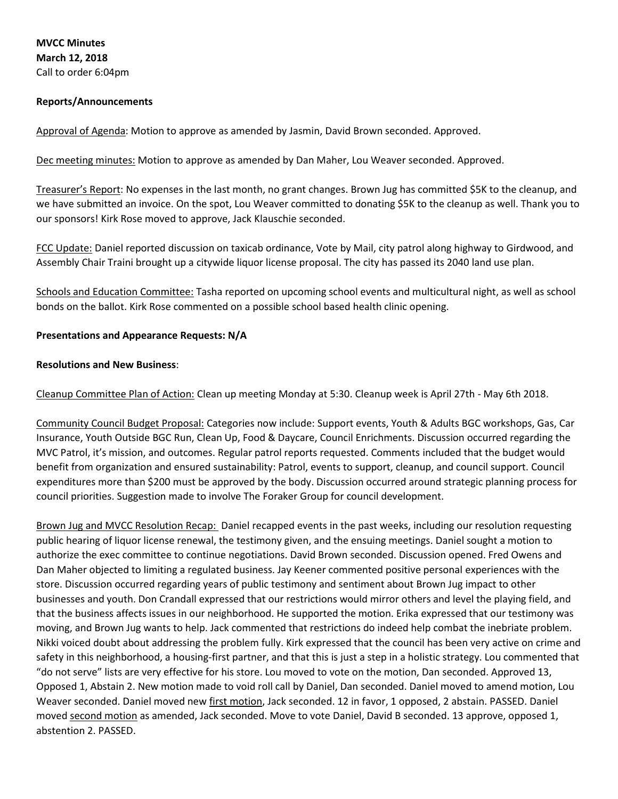**MVCC Minutes March 12, 2018** Call to order 6:04pm

### **Reports/Announcements**

Approval of Agenda: Motion to approve as amended by Jasmin, David Brown seconded. Approved.

Dec meeting minutes: Motion to approve as amended by Dan Maher, Lou Weaver seconded. Approved.

Treasurer's Report: No expenses in the last month, no grant changes. Brown Jug has committed \$5K to the cleanup, and we have submitted an invoice. On the spot, Lou Weaver committed to donating \$5K to the cleanup as well. Thank you to our sponsors! Kirk Rose moved to approve, Jack Klauschie seconded.

FCC Update: Daniel reported discussion on taxicab ordinance, Vote by Mail, city patrol along highway to Girdwood, and Assembly Chair Traini brought up a citywide liquor license proposal. The city has passed its 2040 land use plan.

Schools and Education Committee: Tasha reported on upcoming school events and multicultural night, as well as school bonds on the ballot. Kirk Rose commented on a possible school based health clinic opening.

#### **Presentations and Appearance Requests: N/A**

#### **Resolutions and New Business**:

Cleanup Committee Plan of Action: Clean up meeting Monday at 5:30. Cleanup week is April 27th - May 6th 2018.

Community Council Budget Proposal: Categories now include: Support events, Youth & Adults BGC workshops, Gas, Car Insurance, Youth Outside BGC Run, Clean Up, Food & Daycare, Council Enrichments. Discussion occurred regarding the MVC Patrol, it's mission, and outcomes. Regular patrol reports requested. Comments included that the budget would benefit from organization and ensured sustainability: Patrol, events to support, cleanup, and council support. Council expenditures more than \$200 must be approved by the body. Discussion occurred around strategic planning process for council priorities. Suggestion made to involve The Foraker Group for council development.

Brown Jug and MVCC Resolution Recap: Daniel recapped events in the past weeks, including our resolution requesting public hearing of liquor license renewal, the testimony given, and the ensuing meetings. Daniel sought a motion to authorize the exec committee to continue negotiations. David Brown seconded. Discussion opened. Fred Owens and Dan Maher objected to limiting a regulated business. Jay Keener commented positive personal experiences with the store. Discussion occurred regarding years of public testimony and sentiment about Brown Jug impact to other businesses and youth. Don Crandall expressed that our restrictions would mirror others and level the playing field, and that the business affects issues in our neighborhood. He supported the motion. Erika expressed that our testimony was moving, and Brown Jug wants to help. Jack commented that restrictions do indeed help combat the inebriate problem. Nikki voiced doubt about addressing the problem fully. Kirk expressed that the council has been very active on crime and safety in this neighborhood, a housing-first partner, and that this is just a step in a holistic strategy. Lou commented that "do not serve" lists are very effective for his store. Lou moved to vote on the motion, Dan seconded. Approved 13, Opposed 1, Abstain 2. New motion made to void roll call by Daniel, Dan seconded. Daniel moved to amend motion, Lou Weaver seconded. Daniel moved new first motion, Jack seconded. 12 in favor, 1 opposed, 2 abstain. PASSED. Daniel moved second motion as amended, Jack seconded. Move to vote Daniel, David B seconded. 13 approve, opposed 1, abstention 2. PASSED.